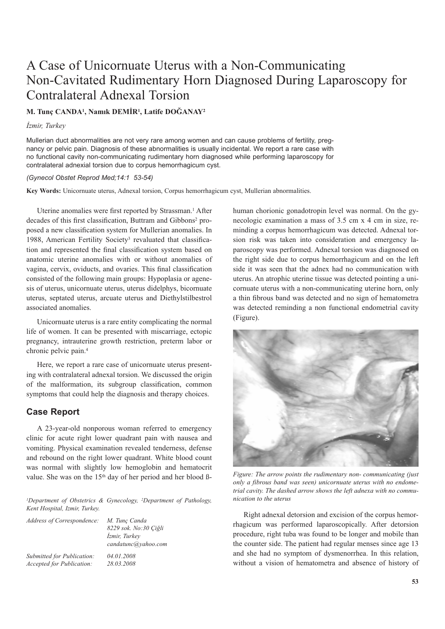# A Case of Unicornuate Uterus with a Non-Communicating Non-Cavitated Rudimentary Horn Diagnosed During Laparoscopy for Contralateral Adnexal Torsion

## **M. Tunç CANDA1, Namık DEMİR1, Latife DOĞANAY2**

#### *İzmir, Turkey*

Mullerian duct abnormalities are not very rare among women and can cause problems of fertility, pregnancy or pelvic pain. Diagnosis of these abnormalities is usually incidental. We report a rare case with no functional cavity non-communicating rudimentary horn diagnosed while performing laparoscopy for contralateral adnexial torsion due to corpus hemorrhagicum cyst.

#### *(Gynecol Obstet Reprod Med;14:1 53-54)*

**Key Words:** Unicornuate uterus, Adnexal torsion, Corpus hemorrhagicum cyst, Mullerian abnormalities.

Uterine anomalies were first reported by Strassman.<sup>1</sup> After decades of this first classification, Buttram and Gibbons<sup>2</sup> proposed a new classification system for Mullerian anomalies. In 1988, American Fertility Society<sup>3</sup> revaluated that classification and represented the final classification system based on anatomic uterine anomalies with or without anomalies of vagina, cervix, oviducts, and ovaries. This final classification consisted of the following main groups: Hypoplasia or agenesis of uterus, unicornuate uterus, uterus didelphys, bicornuate uterus, septated uterus, arcuate uterus and Diethylstilbestrol associated anomalies.

Unicornuate uterus is a rare entity complicating the normal life of women. It can be presented with miscarriage, ectopic pregnancy, intrauterine growth restriction, preterm labor or chronic pelvic pain.4

Here, we report a rare case of unicornuate uterus presenting with contralateral adnexal torsion. We discussed the origin of the malformation, its subgroup classification, common symptoms that could help the diagnosis and therapy choices.

# **Case Report**

A 23-year-old nonporous woman referred to emergency clinic for acute right lower quadrant pain with nausea and vomiting. Physical examination revealed tenderness, defense and rebound on the right lower quadrant. White blood count was normal with slightly low hemoglobin and hematocrit value. She was on the 15<sup>th</sup> day of her period and her blood ß-

*1Department of Obstetrics & Gynecology, 2Department of Pathology, Kent Hospital, Izmir, Turkey.*

| M. Tunc Canda<br>8229 sok. No:30 Çiğli<br><i><u><b>İzmir</b></u></i> , <i>Turkev</i><br>candatunc@yahoo.com |
|-------------------------------------------------------------------------------------------------------------|
| 04.01.2008<br>28.03.2008                                                                                    |
|                                                                                                             |

human chorionic gonadotropin level was normal. On the gynecologic examination a mass of 3.5 cm x 4 cm in size, reminding a corpus hemorrhagicum was detected. Adnexal torsion risk was taken into consideration and emergency laparoscopy was performed. Adnexal torsion was diagnosed on the right side due to corpus hemorrhagicum and on the left side it was seen that the adnex had no communication with uterus. An atrophic uterine tissue was detected pointing a unicornuate uterus with a non-communicating uterine horn, only a thin fibrous band was detected and no sign of hematometra was detected reminding a non functional endometrial cavity (Figure).



*Figure: The arrow points the rudimentary non- communicating (just only a fibrous band was seen) unicornuate uterus with no endometrial cavity. The dashed arrow shows the left adnexa with no communication to the uterus*

Right adnexal detorsion and excision of the corpus hemorrhagicum was performed laparoscopically. After detorsion procedure, right tuba was found to be longer and mobile than the counter side. The patient had regular menses since age 13 and she had no symptom of dysmenorrhea. In this relation, without a vision of hematometra and absence of history of